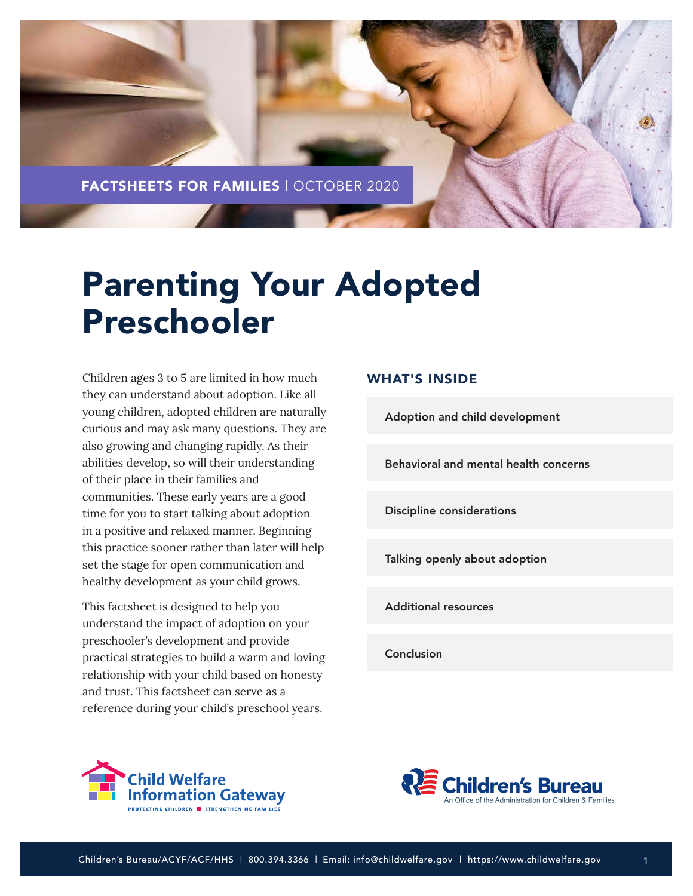

# Parenting Your Adopted Preschooler

Children ages 3 to 5 are limited in how much they can understand about adoption. Like all young children, adopted children are naturally curious and may ask many questions. They are also growing and changing rapidly. As their abilities develop, so will their understanding of their place in their families and communities. These early years are a good time for you to start talking about adoption in a positive and relaxed manner. Beginning this practice sooner rather than later will help set the stage for open communication and healthy development as your child grows.

This factsheet is designed to help you understand the impact of adoption on your preschooler's development and provide practical strategies to build a warm and loving relationship with your child based on honesty and trust. This factsheet can serve as a reference during your child's preschool years.

## WHAT'S INSIDE

[Adoption and child development](#page-1-0)

[Behavioral and mental health concerns](#page-2-0)

[Discipline considerations](#page-7-0)

[Talking openly about adoption](#page-9-0)

[Additional resources](#page-12-0)

[Conclusion](#page-12-0)



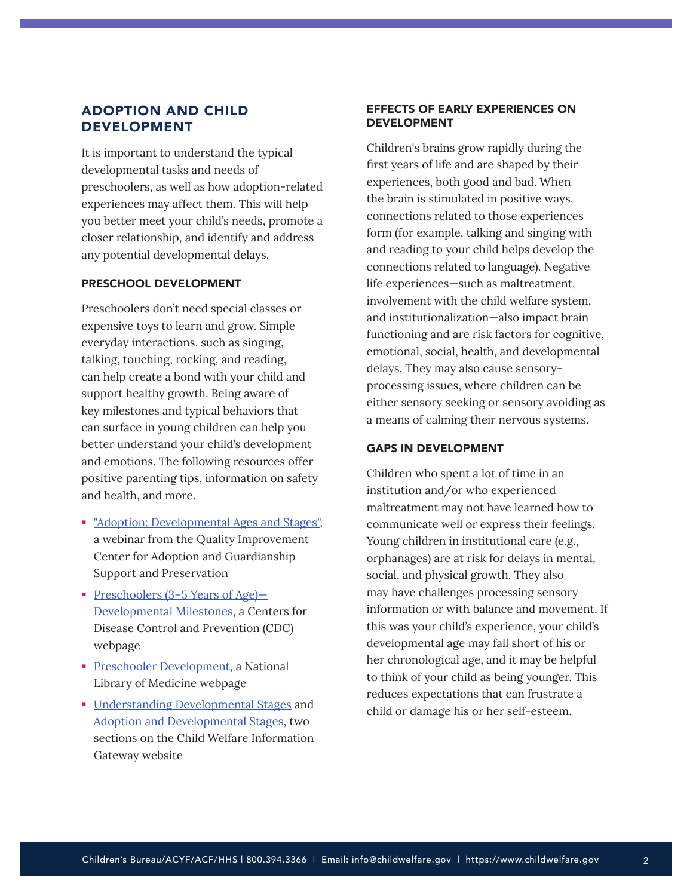## <span id="page-1-0"></span>ADOPTION AND CHILD DEVELOPMENT

It is important to understand the typical developmental tasks and needs of preschoolers, as well as how adoption-related experiences may affect them. This will help you better meet your child's needs, promote a closer relationship, and identify and address any potential developmental delays.

#### PRESCHOOL DEVELOPMENT

Preschoolers don't need special classes or expensive toys to learn and grow. Simple everyday interactions, such as singing, talking, touching, rocking, and reading, can help create a bond with your child and support healthy growth. Being aware of key milestones and typical behaviors that can surface in young children can help you better understand your child's development and emotions. The following resources offer positive parenting tips, information on safety and health, and more.

- **Example 1** ["Adoption: Developmental Ages and Stages",](https://qic-ag.org/wp-content/uploads/2018/05/Adoption-Ages-and-Stages-TARGET-final-pdf.pdf) a webinar from the Quality Improvement Center for Adoption and Guardianship Support and Preservation
- Preschoolers (3–5 Years of Age)-[Developmental Milestones,](https://www.cdc.gov/ncbddd/childdevelopment/positiveparenting/preschoolers.html#:~:text=Children%20reach%20milestones%20in%20how,children%20outside%20of%20the%20family.) a Centers for Disease Control and Prevention (CDC) webpage
- **[Preschooler Development](https://medlineplus.gov/ency/article/002013.htm), a National** Library of Medicine webpage
- **[Understanding Developmental Stages](https://www.childwelfare.gov/topics/preventing/promoting/parenting/understanding/) and** [Adoption and Developmental Stages,](https://www.childwelfare.gov/topics/adoption/adopt-parenting/stages/) two sections on the Child Welfare Information Gateway website

## EFFECTS OF EARLY EXPERIENCES ON DEVELOPMENT

Children's brains grow rapidly during the first years of life and are shaped by their experiences, both good and bad. When the brain is stimulated in positive ways, connections related to those experiences form (for example, talking and singing with and reading to your child helps develop the connections related to language). Negative life experiences—such as maltreatment, involvement with the child welfare system, and institutionalization—also impact brain functioning and are risk factors for cognitive, emotional, social, health, and developmental delays. They may also cause sensoryprocessing issues, where children can be either sensory seeking or sensory avoiding as a means of calming their nervous systems.

## GAPS IN DEVELOPMENT

Children who spent a lot of time in an institution and/or who experienced maltreatment may not have learned how to communicate well or express their feelings. Young children in institutional care (e.g., orphanages) are at risk for delays in mental, social, and physical growth. They also may have challenges processing sensory information or with balance and movement. If this was your child's experience, your child's developmental age may fall short of his or her chronological age, and it may be helpful to think of your child as being younger. This reduces expectations that can frustrate a child or damage his or her self-esteem.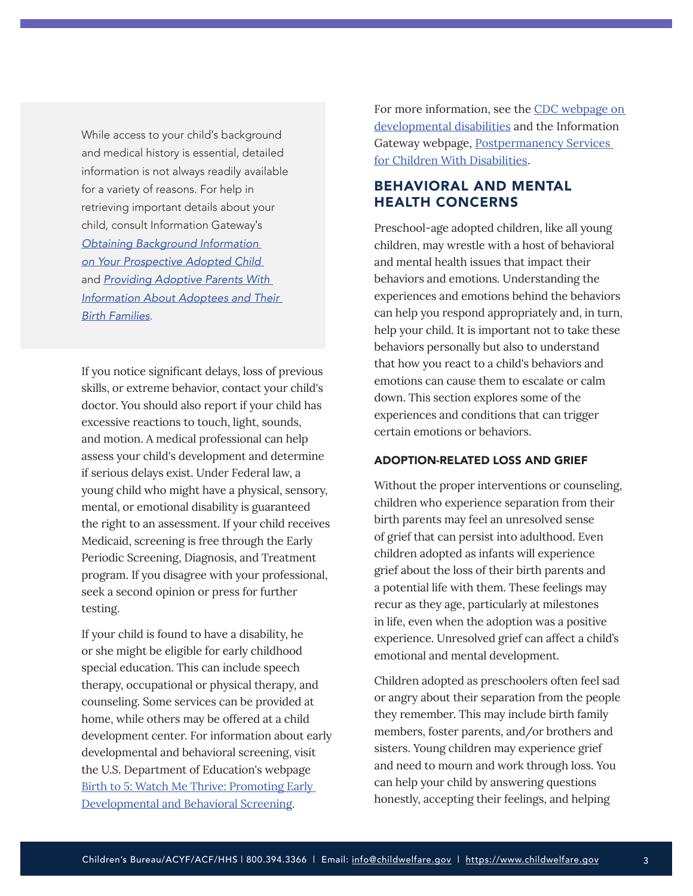<span id="page-2-0"></span>While access to your child's background and medical history is essential, detailed information is not always readily available for a variety of reasons. For help in retrieving important details about your child, consult Information Gateway's *[Obtaining Background Information](https://www.childwelfare.gov/topics/systemwide/laws-policies/statutes/collection/)  [on Your Prospective Adopted Child](https://www.childwelfare.gov/topics/systemwide/laws-policies/statutes/collection/)*  and *[Providing Adoptive Parents With](https://www.childwelfare.gov/topics/systemwide/laws-policies/statutes/collection/)  [Information About Adoptees and Their](https://www.childwelfare.gov/topics/systemwide/laws-policies/statutes/collection/)  [Birth Families](https://www.childwelfare.gov/topics/systemwide/laws-policies/statutes/collection/)*.

If you notice significant delays, loss of previous skills, or extreme behavior, contact your child's doctor. You should also report if your child has excessive reactions to touch, light, sounds, and motion. A medical professional can help assess your child's development and determine if serious delays exist. Under Federal law, a young child who might have a physical, sensory, mental, or emotional disability is guaranteed the right to an assessment. If your child receives Medicaid, screening is free through the Early Periodic Screening, Diagnosis, and Treatment program. If you disagree with your professional, seek a second opinion or press for further testing.

If your child is found to have a disability, he or she might be eligible for early childhood special education. This can include speech therapy, occupational or physical therapy, and counseling. Some services can be provided at home, while others may be offered at a child development center. For information about early developmental and behavioral screening, visit the U.S. Department of Education's webpage [Birth to 5: Watch Me Thrive: Promoting Early](https://www2.ed.gov/about/inits/list/watch-me-thrive/index.html)  [Developmental and Behavioral Screening](https://www2.ed.gov/about/inits/list/watch-me-thrive/index.html).

For more information, see the CDC webpage on [developmental disabilities](https://www.cdc.gov/ncbddd/developmentaldisabilities/index.html) and the Information Gateway webpage, [Postpermanency Services](https://www.childwelfare.gov/topics/adoption/adopt-parenting/services/disability/)  [for Children With Disabilities](https://www.childwelfare.gov/topics/adoption/adopt-parenting/services/disability/).

## BEHAVIORAL AND MENTAL HEALTH CONCERNS

Preschool-age adopted children, like all young children, may wrestle with a host of behavioral and mental health issues that impact their behaviors and emotions. Understanding the experiences and emotions behind the behaviors can help you respond appropriately and, in turn, help your child. It is important not to take these behaviors personally but also to understand that how you react to a child's behaviors and emotions can cause them to escalate or calm down. This section explores some of the experiences and conditions that can trigger certain emotions or behaviors.

## ADOPTION-RELATED LOSS AND GRIEF

Without the proper interventions or counseling, children who experience separation from their birth parents may feel an unresolved sense of grief that can persist into adulthood. Even children adopted as infants will experience grief about the loss of their birth parents and a potential life with them. These feelings may recur as they age, particularly at milestones in life, even when the adoption was a positive experience. Unresolved grief can affect a child's emotional and mental development.

Children adopted as preschoolers often feel sad or angry about their separation from the people they remember. This may include birth family members, foster parents, and/or brothers and sisters. Young children may experience grief and need to mourn and work through loss. You can help your child by answering questions honestly, accepting their feelings, and helping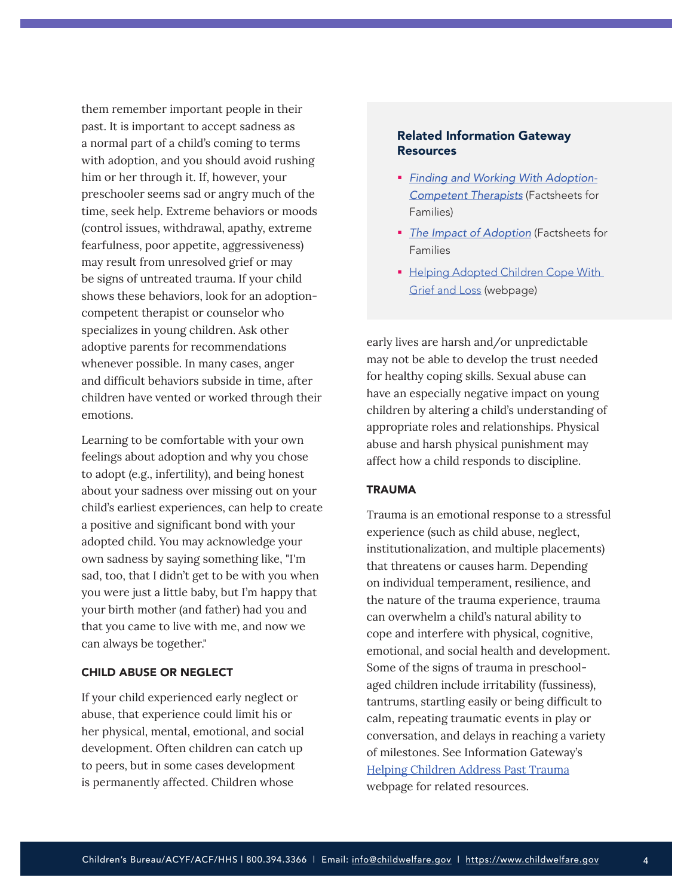them remember important people in their past. It is important to accept sadness as a normal part of a child's coming to terms with adoption, and you should avoid rushing him or her through it. If, however, your preschooler seems sad or angry much of the time, seek help. Extreme behaviors or moods (control issues, withdrawal, apathy, extreme fearfulness, poor appetite, aggressiveness) may result from unresolved grief or may be signs of untreated trauma. If your child shows these behaviors, look for an adoptioncompetent therapist or counselor who specializes in young children. Ask other adoptive parents for recommendations whenever possible. In many cases, anger and difficult behaviors subside in time, after children have vented or worked through their emotions.

Learning to be comfortable with your own feelings about adoption and why you chose to adopt (e.g., infertility), and being honest about your sadness over missing out on your child's earliest experiences, can help to create a positive and significant bond with your adopted child. You may acknowledge your own sadness by saying something like, "I'm sad, too, that I didn't get to be with you when you were just a little baby, but I'm happy that your birth mother (and father) had you and that you came to live with me, and now we can always be together."

## CHILD ABUSE OR NEGLECT

If your child experienced early neglect or abuse, that experience could limit his or her physical, mental, emotional, and social development. Often children can catch up to peers, but in some cases development is permanently affected. Children whose

## Related Information Gateway Resources

- *[Finding and Working With Adoption-](https://www.childwelfare.gov/pubs/f-therapist/)[Competent Therapists](https://www.childwelfare.gov/pubs/f-therapist/)* (Factsheets for Families)
- *[The Impact of Adoption](https://www.childwelfare.gov/pubs/factsheets-families-adoptionimpact/)* (Factsheets for Families
- **Helping Adopted Children Cope With** [Grief and Loss](https://www.childwelfare.gov/topics/adoption/adopt-parenting/helping/) (webpage)

early lives are harsh and/or unpredictable may not be able to develop the trust needed for healthy coping skills. Sexual abuse can have an especially negative impact on young children by altering a child's understanding of appropriate roles and relationships. Physical abuse and harsh physical punishment may affect how a child responds to discipline.

## TRAUMA

Trauma is an emotional response to a stressful experience (such as child abuse, neglect, institutionalization, and multiple placements) that threatens or causes harm. Depending on individual temperament, resilience, and the nature of the trauma experience, trauma can overwhelm a child's natural ability to cope and interfere with physical, cognitive, emotional, and social health and development. Some of the signs of trauma in preschoolaged children include irritability (fussiness), tantrums, startling easily or being difficult to calm, repeating traumatic events in play or conversation, and delays in reaching a variety of milestones. See Information Gateway's [Helping Children Address Past Trauma](https://www.childwelfare.gov/topics/adoption/preplacement/helping/) webpage for related resources.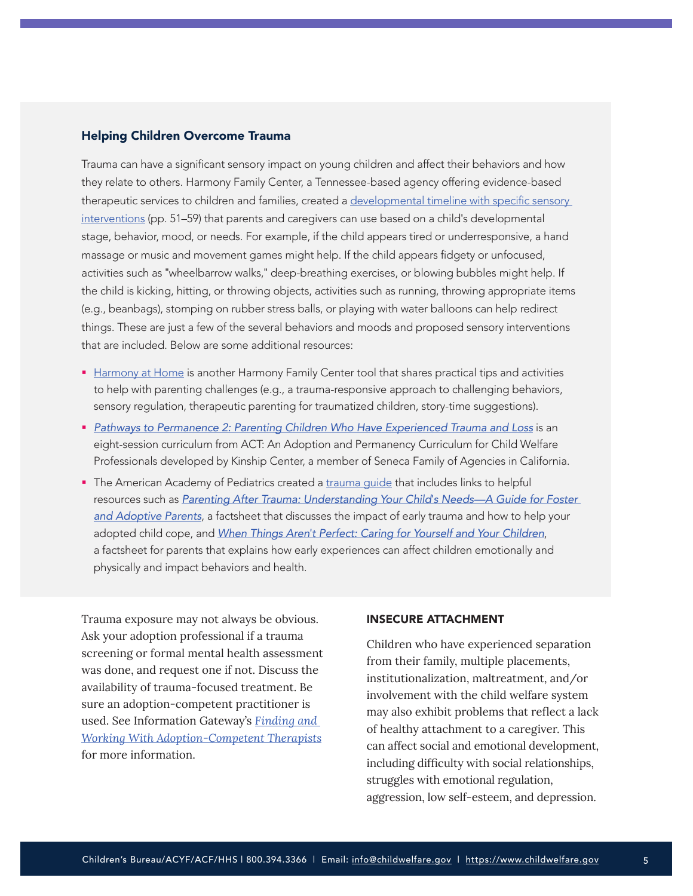#### Helping Children Overcome Trauma

Trauma can have a significant sensory impact on young children and affect their behaviors and how they relate to others. Harmony Family Center, a Tennessee-based agency offering evidence-based therapeutic services to children and families, created a [developmental timeline with specific sensory](https://f703a7d7-8ac0-4f02-8b8d-b5183e4ac074.filesusr.com/ugd/434165_476d3343f2d241c192fc53084ba610f9.pdf)  [interventions](https://f703a7d7-8ac0-4f02-8b8d-b5183e4ac074.filesusr.com/ugd/434165_476d3343f2d241c192fc53084ba610f9.pdf) (pp. 51–59) that parents and caregivers can use based on a child's developmental stage, behavior, mood, or needs. For example, if the child appears tired or underresponsive, a hand massage or music and movement games might help. If the child appears fidgety or unfocused, activities such as "wheelbarrow walks," deep-breathing exercises, or blowing bubbles might help. If the child is kicking, hitting, or throwing objects, activities such as running, throwing appropriate items (e.g., beanbags), stomping on rubber stress balls, or playing with water balloons can help redirect things. These are just a few of the several behaviors and moods and proposed sensory interventions that are included. Below are some additional resources:

- [Harmony at Home](https://www.harmonyfamilycenter.org/harmony-at-home) is another Harmony Family Center tool that shares practical tips and activities to help with parenting challenges (e.g., a trauma-responsive approach to challenging behaviors, sensory regulation, therapeutic parenting for traumatized children, story-time suggestions).
- *[Pathways to Permanence 2: Parenting Children Who Have Experienced Trauma and Loss](https://www.adoption.on.ca/pathways-to-permanence-2)* is an eight-session curriculum from ACT: An Adoption and Permanency Curriculum for Child Welfare Professionals developed by Kinship Center, a member of Seneca Family of Agencies in California.
- The American Academy of Pediatrics created a [trauma guide](https://www.aap.org/en-us/advocacy-and-policy/aap-health-initiatives/healthy-foster-care-america/Pages/Trauma-Guide.aspx) that includes links to helpful resources such as *[Parenting After Trauma: Understanding Your Child](https://www.aap.org/en-us/advocacy-and-policy/aap-health-initiatives/healthy-foster-care-america/Documents/FamilyHandout.pdf)'s Needs—A Guide for Foster [and Adoptive Parents](https://www.aap.org/en-us/advocacy-and-policy/aap-health-initiatives/healthy-foster-care-america/Documents/FamilyHandout.pdf)*, a factsheet that discusses the impact of early trauma and how to help your adopted child cope, and *When Things Aren'[t Perfect: Caring for Yourself and Your Children](https://www.aap.org/en-us/Documents/ttb_caring_for_yourself.pdf)*, a factsheet for parents that explains how early experiences can affect children emotionally and physically and impact behaviors and health.

Trauma exposure may not always be obvious. Ask your adoption professional if a trauma screening or formal mental health assessment was done, and request one if not. Discuss the availability of trauma-focused treatment. Be sure an adoption-competent practitioner is used. See Information Gateway's *[Finding and](https://www.childwelfare.gov/pubs/f-therapist/)  [Working With Adoption-Competent Therapists](https://www.childwelfare.gov/pubs/f-therapist/)* for more information.

#### INSECURE ATTACHMENT

Children who have experienced separation from their family, multiple placements, institutionalization, maltreatment, and/or involvement with the child welfare system may also exhibit problems that reflect a lack of healthy attachment to a caregiver. This can affect social and emotional development, including difficulty with social relationships, struggles with emotional regulation, aggression, low self-esteem, and depression.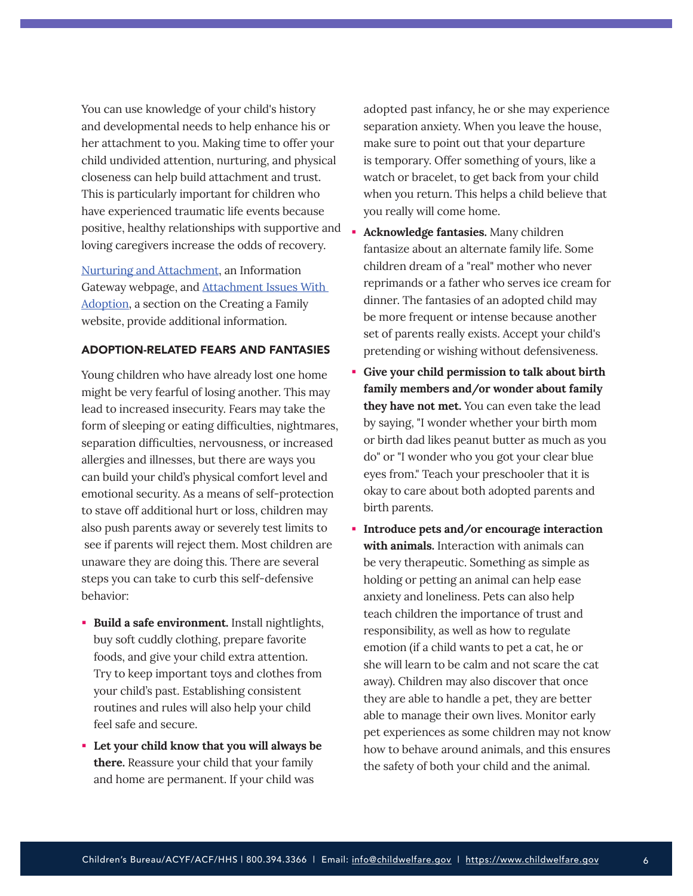You can use knowledge of your child's history and developmental needs to help enhance his or her attachment to you. Making time to offer your child undivided attention, nurturing, and physical closeness can help build attachment and trust. This is particularly important for children who have experienced traumatic life events because positive, healthy relationships with supportive and loving caregivers increase the odds of recovery.

[Nurturing and Attachment](https://www.childwelfare.gov/topics/preventing/promoting/protectfactors/nurture-attach/), an Information Gateway webpage, and [Attachment Issues With](https://creatingafamily.org/adoption/resources/attachment-issues-with-adoption/)  [Adoption,](https://creatingafamily.org/adoption/resources/attachment-issues-with-adoption/) a section on the Creating a Family website, provide additional information.

#### ADOPTION-RELATED FEARS AND FANTASIES

Young children who have already lost one home might be very fearful of losing another. This may lead to increased insecurity. Fears may take the form of sleeping or eating difficulties, nightmares, separation difficulties, nervousness, or increased allergies and illnesses, but there are ways you can build your child's physical comfort level and emotional security. As a means of self-protection to stave off additional hurt or loss, children may also push parents away or severely test limits to see if parents will reject them. Most children are unaware they are doing this. There are several steps you can take to curb this self-defensive behavior:

- **Build a safe environment.** Install nightlights, buy soft cuddly clothing, prepare favorite foods, and give your child extra attention. Try to keep important toys and clothes from your child's past. Establishing consistent routines and rules will also help your child feel safe and secure.
- **Let your child know that you will always be there.** Reassure your child that your family and home are permanent. If your child was

adopted past infancy, he or she may experience separation anxiety. When you leave the house, make sure to point out that your departure is temporary. Offer something of yours, like a watch or bracelet, to get back from your child when you return. This helps a child believe that you really will come home.

- **Acknowledge fantasies.** Many children fantasize about an alternate family life. Some children dream of a "real" mother who never reprimands or a father who serves ice cream for dinner. The fantasies of an adopted child may be more frequent or intense because another set of parents really exists. Accept your child's pretending or wishing without defensiveness.
- **Give your child permission to talk about birth family members and/or wonder about family they have not met.** You can even take the lead by saying, "I wonder whether your birth mom or birth dad likes peanut butter as much as you do" or "I wonder who you got your clear blue eyes from." Teach your preschooler that it is okay to care about both adopted parents and birth parents.
- **Introduce pets and/or encourage interaction with animals.** Interaction with animals can be very therapeutic. Something as simple as holding or petting an animal can help ease anxiety and loneliness. Pets can also help teach children the importance of trust and responsibility, as well as how to regulate emotion (if a child wants to pet a cat, he or she will learn to be calm and not scare the cat away). Children may also discover that once they are able to handle a pet, they are better able to manage their own lives. Monitor early pet experiences as some children may not know how to behave around animals, and this ensures the safety of both your child and the animal.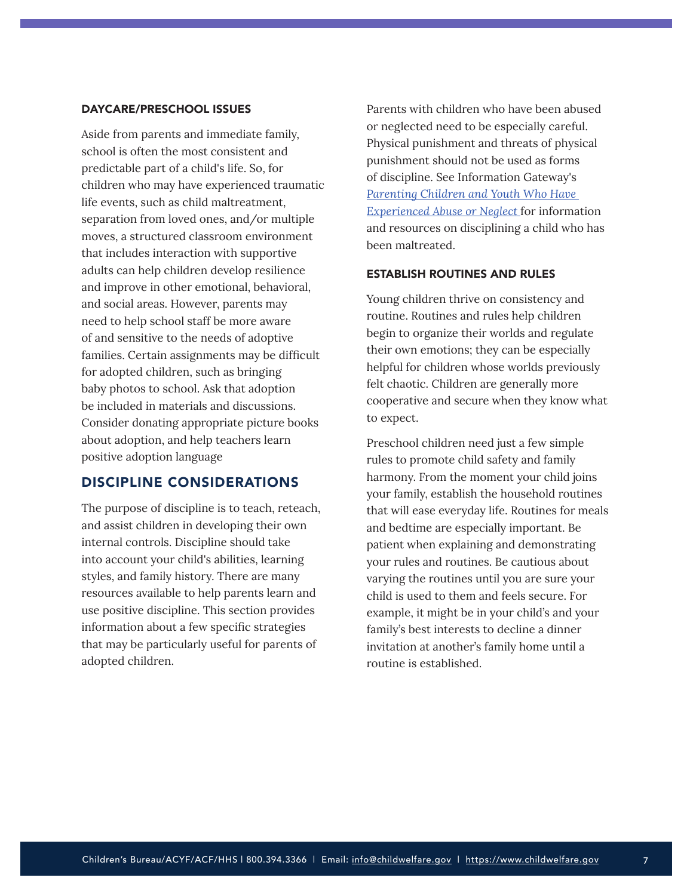#### DAYCARE/PRESCHOOL ISSUES

Aside from parents and immediate family, school is often the most consistent and predictable part of a child's life. So, for children who may have experienced traumatic life events, such as child maltreatment, separation from loved ones, and/or multiple moves, a structured classroom environment that includes interaction with supportive adults can help children develop resilience and improve in other emotional, behavioral, and social areas. However, parents may need to help school staff be more aware of and sensitive to the needs of adoptive families. Certain assignments may be difficult for adopted children, such as bringing baby photos to school. Ask that adoption be included in materials and discussions. Consider donating appropriate picture books about adoption, and help teachers learn positive adoption language

## DISCIPLINE CONSIDERATIONS

The purpose of discipline is to teach, reteach, and assist children in developing their own internal controls. Discipline should take into account your child's abilities, learning styles, and family history. There are many resources available to help parents learn and use positive discipline. This section provides information about a few specific strategies that may be particularly useful for parents of adopted children.

Parents with children who have been abused or neglected need to be especially careful. Physical punishment and threats of physical punishment should not be used as forms of discipline. See Information Gateway's *[Parenting Children and Youth Who Have](https://www.childwelfare.gov/pubs/parenting-CAN/)  [Experienced Abuse or Neglect](https://www.childwelfare.gov/pubs/parenting-CAN/)* for information and resources on disciplining a child who has been maltreated.

## ESTABLISH ROUTINES AND RULES

Young children thrive on consistency and routine. Routines and rules help children begin to organize their worlds and regulate their own emotions; they can be especially helpful for children whose worlds previously felt chaotic. Children are generally more cooperative and secure when they know what to expect.

Preschool children need just a few simple rules to promote child safety and family harmony. From the moment your child joins your family, establish the household routines that will ease everyday life. Routines for meals and bedtime are especially important. Be patient when explaining and demonstrating your rules and routines. Be cautious about varying the routines until you are sure your child is used to them and feels secure. For example, it might be in your child's and your family's best interests to decline a dinner invitation at another's family home until a routine is established.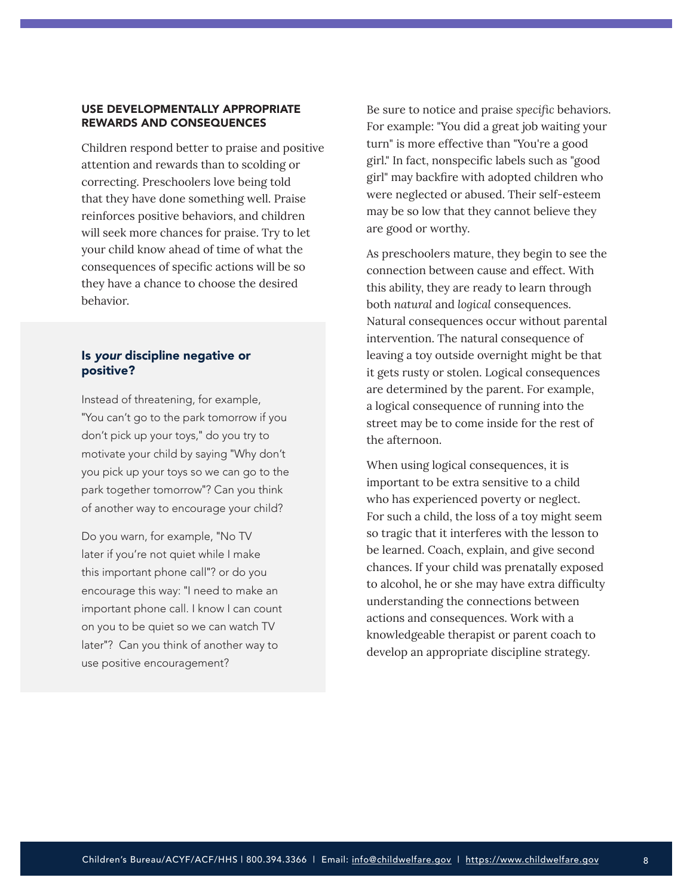#### <span id="page-7-0"></span>USE DEVELOPMENTALLY APPROPRIATE REWARDS AND CONSEQUENCES

Children respond better to praise and positive attention and rewards than to scolding or correcting. Preschoolers love being told that they have done something well. Praise reinforces positive behaviors, and children will seek more chances for praise. Try to let your child know ahead of time of what the consequences of specific actions will be so they have a chance to choose the desired behavior.

## Is *your* discipline negative or positive?

Instead of threatening, for example, "You can't go to the park tomorrow if you don't pick up your toys," do you try to motivate your child by saying "Why don't you pick up your toys so we can go to the park together tomorrow"? Can you think of another way to encourage your child?

Do you warn, for example, "No TV later if you're not quiet while I make this important phone call"? or do you encourage this way: "I need to make an important phone call. I know I can count on you to be quiet so we can watch TV later"? Can you think of another way to use positive encouragement?

Be sure to notice and praise *specific* behaviors. For example: "You did a great job waiting your turn" is more effective than "You're a good girl." In fact, nonspecific labels such as "good girl" may backfire with adopted children who were neglected or abused. Their self-esteem may be so low that they cannot believe they are good or worthy.

As preschoolers mature, they begin to see the connection between cause and effect. With this ability, they are ready to learn through both *natural* and *logical* consequences. Natural consequences occur without parental intervention. The natural consequence of leaving a toy outside overnight might be that it gets rusty or stolen. Logical consequences are determined by the parent. For example, a logical consequence of running into the street may be to come inside for the rest of the afternoon.

When using logical consequences, it is important to be extra sensitive to a child who has experienced poverty or neglect. For such a child, the loss of a toy might seem so tragic that it interferes with the lesson to be learned. Coach, explain, and give second chances. If your child was prenatally exposed to alcohol, he or she may have extra difficulty understanding the connections between actions and consequences. Work with a knowledgeable therapist or parent coach to develop an appropriate discipline strategy.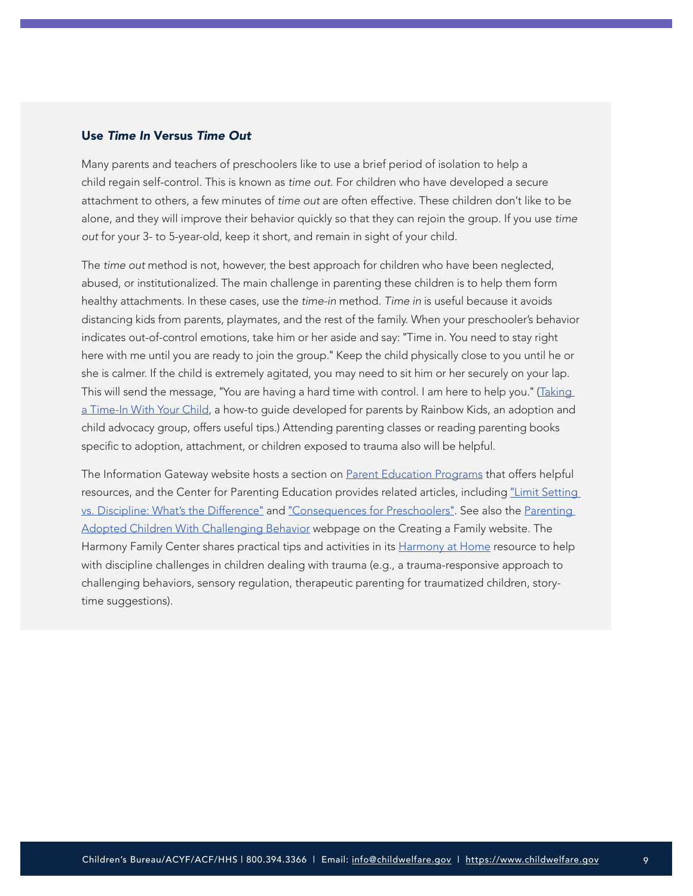## Use *Time In* Versus *Time Out*

Many parents and teachers of preschoolers like to use a brief period of isolation to help a child regain self-control. This is known as *time out*. For children who have developed a secure attachment to others, a few minutes of *time out* are often effective. These children don't like to be alone, and they will improve their behavior quickly so that they can rejoin the group. If you use *time out* for your 3- to 5-year-old, keep it short, and remain in sight of your child.

The *time out* method is not, however, the best approach for children who have been neglected, abused, or institutionalized. The main challenge in parenting these children is to help them form healthy attachments. In these cases, use the *time-in* method. *Time in* is useful because it avoids distancing kids from parents, playmates, and the rest of the family. When your preschooler's behavior indicates out-of-control emotions, take him or her aside and say: "Time in. You need to stay right here with me until you are ready to join the group." Keep the child physically close to you until he or she is calmer. If the child is extremely agitated, you may need to sit him or her securely on your lap. This will send the message, "You are having a hard time with control. I am here to help you." (Taking [a Time-In With Your Child](https://www.rainbowkids.com/adoption-stories/taking-a-time-in-with-your-child-648), a how-to guide developed for parents by Rainbow Kids, an adoption and child advocacy group, offers useful tips.) Attending parenting classes or reading parenting books specific to adoption, attachment, or children exposed to trauma also will be helpful.

The Information Gateway website hosts a section on [Parent Education Programs](https://www.childwelfare.gov/topics/preventing/prevention-programs/parented/) that offers helpful resources, and the Center for Parenting Education provides related articles, including "[Limit Setting](https://centerforparentingeducation.org/library-of-articles/baby-through-preschool-articles/limit-setting-vs-discipline-whats-the-difference/)  [vs. Discipline: What's the Difference](https://centerforparentingeducation.org/library-of-articles/baby-through-preschool-articles/limit-setting-vs-discipline-whats-the-difference/)" and "[Consequences for Preschoolers](https://centerforparentingeducation.org/library-of-articles/baby-through-preschool-articles/consequences-preschoolers/)". See also the [Parenting](https://creatingafamily.org/adoption/resources/parenting-adopted-children-challenging-behavior/)  [Adopted Children With Challenging Behavior](https://creatingafamily.org/adoption/resources/parenting-adopted-children-challenging-behavior/) webpage on the Creating a Family website. The Harmony Family Center shares practical tips and activities in its [Harmony at Home](https://www.harmonyfamilycenter.org/harmony-at-home) resource to help with discipline challenges in children dealing with trauma (e.g., a trauma-responsive approach to challenging behaviors, sensory regulation, therapeutic parenting for traumatized children, storytime suggestions).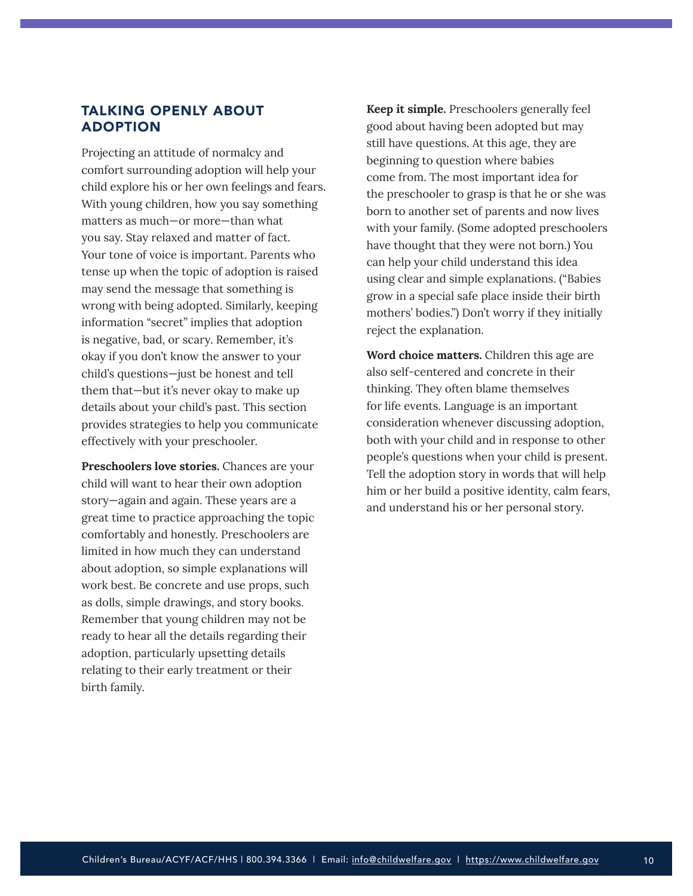## <span id="page-9-0"></span>TALKING OPENLY ABOUT ADOPTION

Projecting an attitude of normalcy and comfort surrounding adoption will help your child explore his or her own feelings and fears. With young children, how you say something matters as much—or more—than what you say. Stay relaxed and matter of fact. Your tone of voice is important. Parents who tense up when the topic of adoption is raised may send the message that something is wrong with being adopted. Similarly, keeping information "secret" implies that adoption is negative, bad, or scary. Remember, it's okay if you don't know the answer to your child's questions—just be honest and tell them that—but it's never okay to make up details about your child's past. This section provides strategies to help you communicate effectively with your preschooler.

**Preschoolers love stories.** Chances are your child will want to hear their own adoption story—again and again. These years are a great time to practice approaching the topic comfortably and honestly. Preschoolers are limited in how much they can understand about adoption, so simple explanations will work best. Be concrete and use props, such as dolls, simple drawings, and story books. Remember that young children may not be ready to hear all the details regarding their adoption, particularly upsetting details relating to their early treatment or their birth family.

**Keep it simple.** Preschoolers generally feel good about having been adopted but may still have questions. At this age, they are beginning to question where babies come from. The most important idea for the preschooler to grasp is that he or she was born to another set of parents and now lives with your family. (Some adopted preschoolers have thought that they were not born.) You can help your child understand this idea using clear and simple explanations. ("Babies grow in a special safe place inside their birth mothers' bodies.") Don't worry if they initially reject the explanation.

**Word choice matters.** Children this age are also self-centered and concrete in their thinking. They often blame themselves for life events. Language is an important consideration whenever discussing adoption, both with your child and in response to other people's questions when your child is present. Tell the adoption story in words that will help him or her build a positive identity, calm fears, and understand his or her personal story.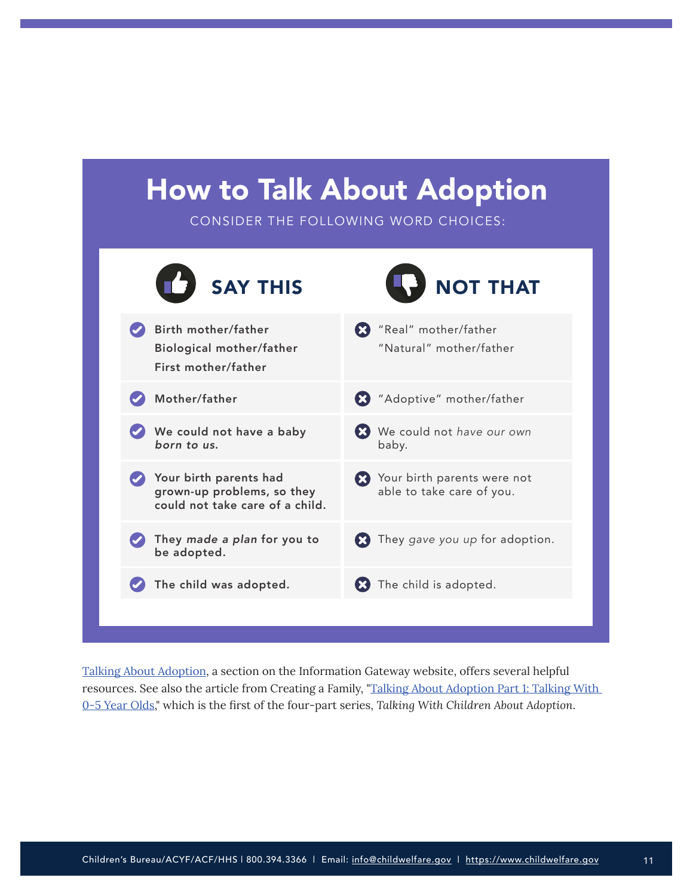## How to Talk About Adoption

CONSIDER THE FOLLOWING WORD CHOICES:



[Talking About Adoption](https://www.childwelfare.gov/topics/adoption/adopt-parenting/talking/), a section on the Information Gateway website, offers several helpful resources. See also the article from Creating a Family, ["Talking About Adoption Part 1: Talking With](https://creatingafamily.org/adoption-category/talking-adoption-part-1-talking-0-5-year-olds/)  [0-5 Year Olds](https://creatingafamily.org/adoption-category/talking-adoption-part-1-talking-0-5-year-olds/)," which is the first of the four-part series, *Talking With Children About Adoption*.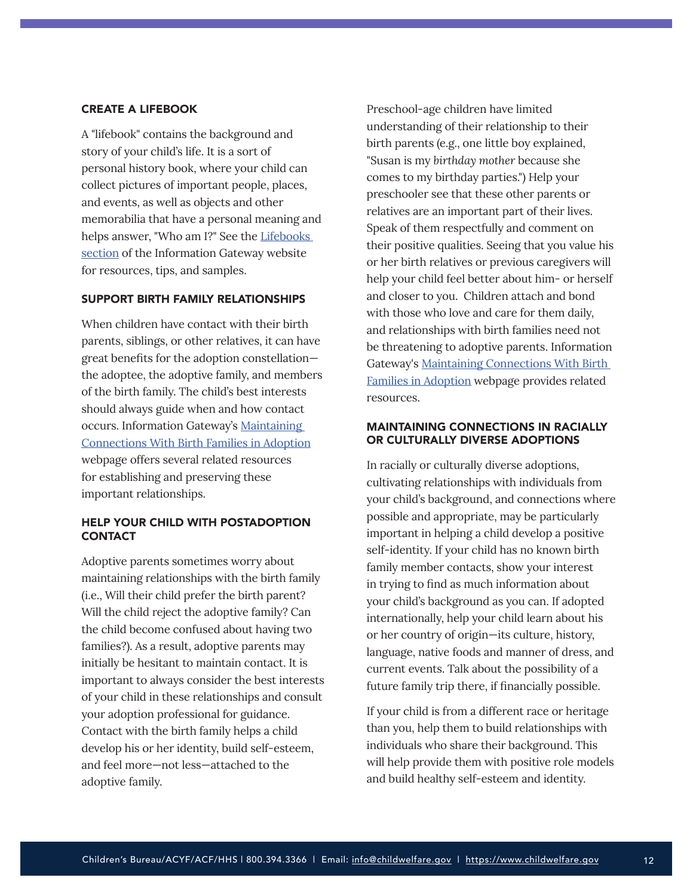#### CREATE A LIFEBOOK

A "lifebook" contains the background and story of your child's life. It is a sort of personal history book, where your child can collect pictures of important people, places, and events, as well as objects and other memorabilia that have a personal meaning and helps answer, "Who am I?" See the Lifebooks [section](https://www.childwelfare.gov/topics/adoption/adopt-parenting/lifebooks/) of the Information Gateway website for resources, tips, and samples.

## SUPPORT BIRTH FAMILY RELATIONSHIPS

When children have contact with their birth parents, siblings, or other relatives, it can have great benefits for the adoption constellation the adoptee, the adoptive family, and members of the birth family. The child's best interests should always guide when and how contact occurs. Information Gateway's [Maintaining](https://www.childwelfare.gov/topics/adoption/preplacement/adoption-openness/)  [Connections With Birth Families in Adoption](https://www.childwelfare.gov/topics/adoption/preplacement/adoption-openness/) webpage offers several related resources for establishing and preserving these important relationships.

## HELP YOUR CHILD WITH POSTADOPTION **CONTACT**

Adoptive parents sometimes worry about maintaining relationships with the birth family (i.e., Will their child prefer the birth parent? Will the child reject the adoptive family? Can the child become confused about having two families?). As a result, adoptive parents may initially be hesitant to maintain contact. It is important to always consider the best interests of your child in these relationships and consult your adoption professional for guidance. Contact with the birth family helps a child develop his or her identity, build self-esteem, and feel more—not less—attached to the adoptive family.

Preschool-age children have limited understanding of their relationship to their birth parents (e.g., one little boy explained, "Susan is my *birthday mother* because she comes to my birthday parties.") Help your preschooler see that these other parents or relatives are an important part of their lives. Speak of them respectfully and comment on their positive qualities. Seeing that you value his or her birth relatives or previous caregivers will help your child feel better about him- or herself and closer to you. Children attach and bond with those who love and care for them daily, and relationships with birth families need not be threatening to adoptive parents. Information Gateway's [Maintaining Connections With Birth](https://www.childwelfare.gov/topics/adoption/preplacement/adoption-openness/)  [Families in Adoption](https://www.childwelfare.gov/topics/adoption/preplacement/adoption-openness/) webpage provides related resources.

#### MAINTAINING CONNECTIONS IN RACIALLY OR CULTURALLY DIVERSE ADOPTIONS

In racially or culturally diverse adoptions, cultivating relationships with individuals from your child's background, and connections where possible and appropriate, may be particularly important in helping a child develop a positive self-identity. If your child has no known birth family member contacts, show your interest in trying to find as much information about your child's background as you can. If adopted internationally, help your child learn about his or her country of origin—its culture, history, language, native foods and manner of dress, and current events. Talk about the possibility of a future family trip there, if financially possible.

If your child is from a different race or heritage than you, help them to build relationships with individuals who share their background. This will help provide them with positive role models and build healthy self-esteem and identity.